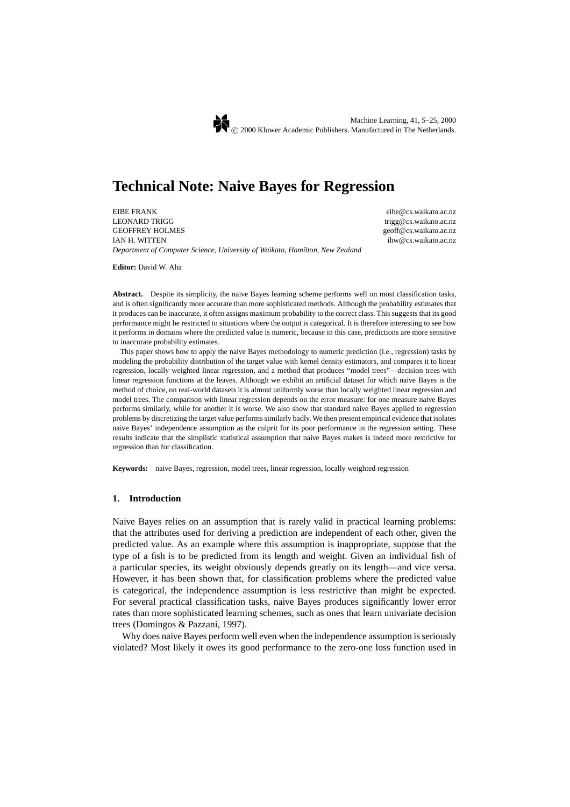# **Technical Note: Naive Bayes for Regression**

EIBE FRANK eibe@cs.waikato.ac.nz LEONARD TRIGG trigg@cs.waikato.ac.nz GEOFFREY HOLMES GEOFFREY HOLMES IAN H. WITTEN  $iN$  ihw@cs.waikato.ac.nz *Department of Computer Science, University of Waikato, Hamilton, New Zealand*

**Editor:** David W. Aha

**Abstract.** Despite its simplicity, the naive Bayes learning scheme performs well on most classification tasks, and is often significantly more accurate than more sophisticated methods. Although the probability estimates that it produces can be inaccurate, it often assigns maximum probability to the correct class. This suggests that its good performance might be restricted to situations where the output is categorical. It is therefore interesting to see how it performs in domains where the predicted value is numeric, because in this case, predictions are more sensitive to inaccurate probability estimates.

This paper shows how to apply the naive Bayes methodology to numeric prediction (i.e., regression) tasks by modeling the probability distribution of the target value with kernel density estimators, and compares it to linear regression, locally weighted linear regression, and a method that produces "model trees"—decision trees with linear regression functions at the leaves. Although we exhibit an artificial dataset for which naive Bayes is the method of choice, on real-world datasets it is almost uniformly worse than locally weighted linear regression and model trees. The comparison with linear regression depends on the error measure: for one measure naive Bayes performs similarly, while for another it is worse. We also show that standard naive Bayes applied to regression problems by discretizing the target value performs similarly badly. We then present empirical evidence that isolates naive Bayes' independence assumption as the culprit for its poor performance in the regression setting. These results indicate that the simplistic statistical assumption that naive Bayes makes is indeed more restrictive for regression than for classification.

**Keywords:** naive Bayes, regression, model trees, linear regression, locally weighted regression

# **1. Introduction**

Naive Bayes relies on an assumption that is rarely valid in practical learning problems: that the attributes used for deriving a prediction are independent of each other, given the predicted value. As an example where this assumption is inappropriate, suppose that the type of a fish is to be predicted from its length and weight. Given an individual fish of a particular species, its weight obviously depends greatly on its length—and vice versa. However, it has been shown that, for classification problems where the predicted value is categorical, the independence assumption is less restrictive than might be expected. For several practical classification tasks, naive Bayes produces significantly lower error rates than more sophisticated learning schemes, such as ones that learn univariate decision trees (Domingos & Pazzani, 1997).

Why does naive Bayes perform well even when the independence assumption is seriously violated? Most likely it owes its good performance to the zero-one loss function used in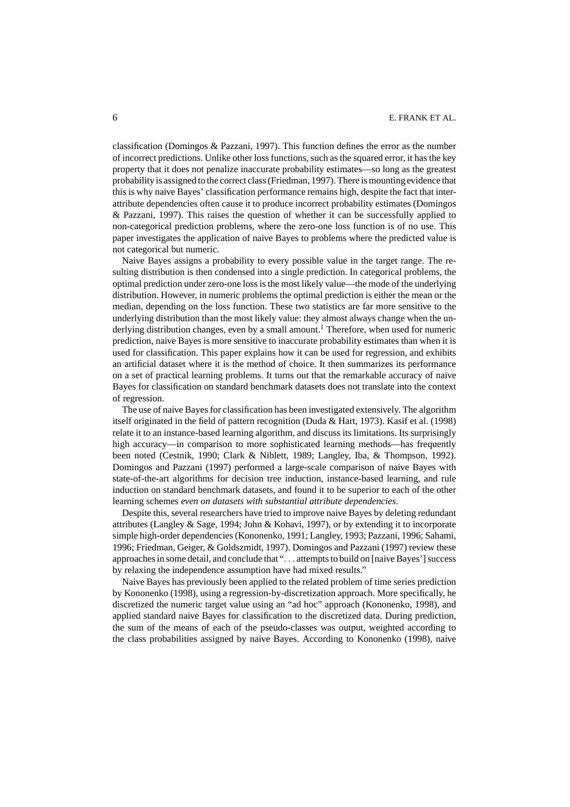classification (Domingos & Pazzani, 1997). This function defines the error as the number of incorrect predictions. Unlike other loss functions, such as the squared error, it has the key property that it does not penalize inaccurate probability estimates—so long as the greatest probability is assigned to the correct class (Friedman, 1997). There is mounting evidence that this is why naive Bayes' classification performance remains high, despite the fact that interattribute dependencies often cause it to produce incorrect probability estimates (Domingos & Pazzani, 1997). This raises the question of whether it can be successfully applied to non-categorical prediction problems, where the zero-one loss function is of no use. This paper investigates the application of naive Bayes to problems where the predicted value is not categorical but numeric.

Naive Bayes assigns a probability to every possible value in the target range. The resulting distribution is then condensed into a single prediction. In categorical problems, the optimal prediction under zero-one loss is the most likely value—the mode of the underlying distribution. However, in numeric problems the optimal prediction is either the mean or the median, depending on the loss function. These two statistics are far more sensitive to the underlying distribution than the most likely value: they almost always change when the underlying distribution changes, even by a small amount.<sup>1</sup> Therefore, when used for numeric prediction, naive Bayes is more sensitive to inaccurate probability estimates than when it is used for classification. This paper explains how it can be used for regression, and exhibits an artificial dataset where it is the method of choice. It then summarizes its performance on a set of practical learning problems. It turns out that the remarkable accuracy of naive Bayes for classification on standard benchmark datasets does not translate into the context of regression.

The use of naive Bayes for classification has been investigated extensively. The algorithm itself originated in the field of pattern recognition (Duda & Hart, 1973). Kasif et al. (1998) relate it to an instance-based learning algorithm, and discuss its limitations. Its surprisingly high accuracy—in comparison to more sophisticated learning methods—has frequently been noted (Cestnik, 1990; Clark & Niblett, 1989; Langley, Iba, & Thompson, 1992). Domingos and Pazzani (1997) performed a large-scale comparison of naive Bayes with state-of-the-art algorithms for decision tree induction, instance-based learning, and rule induction on standard benchmark datasets, and found it to be superior to each of the other learning schemes *even on datasets with substantial attribute dependencies*.

Despite this, several researchers have tried to improve naive Bayes by deleting redundant attributes (Langley & Sage, 1994; John & Kohavi, 1997), or by extending it to incorporate simple high-order dependencies (Kononenko, 1991; Langley, 1993; Pazzani, 1996; Sahami, 1996; Friedman, Geiger, & Goldszmidt, 1997). Domingos and Pazzani (1997) review these approaches in some detail, and conclude that "... attempts to build on [naive Bayes'] success by relaxing the independence assumption have had mixed results."

Naive Bayes has previously been applied to the related problem of time series prediction by Kononenko (1998), using a regression-by-discretization approach. More specifically, he discretized the numeric target value using an "ad hoc" approach (Kononenko, 1998), and applied standard naive Bayes for classification to the discretized data. During prediction, the sum of the means of each of the pseudo-classes was output, weighted according to the class probabilities assigned by naive Bayes. According to Kononenko (1998), naive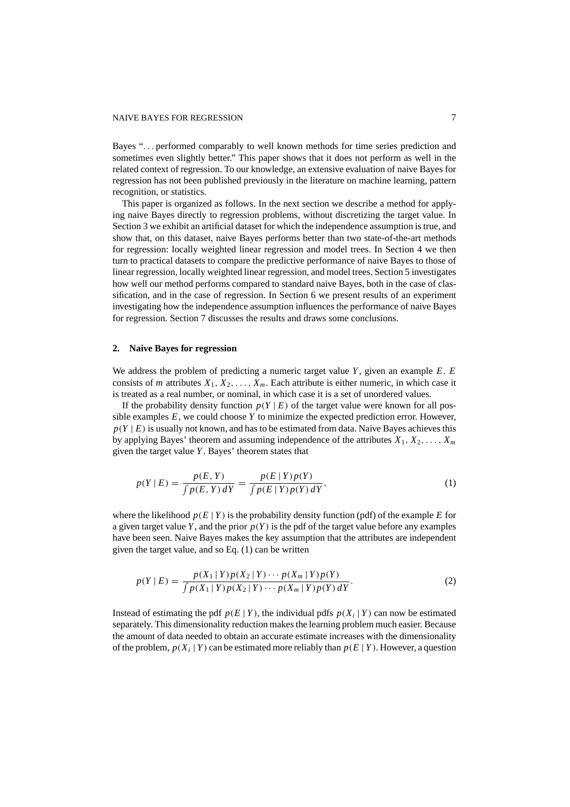# NAIVE BAYES FOR REGRESSION 7

Bayes "... performed comparably to well known methods for time series prediction and sometimes even slightly better." This paper shows that it does not perform as well in the related context of regression. To our knowledge, an extensive evaluation of naive Bayes for regression has not been published previously in the literature on machine learning, pattern recognition, or statistics.

This paper is organized as follows. In the next section we describe a method for applying naive Bayes directly to regression problems, without discretizing the target value. In Section 3 we exhibit an artificial dataset for which the independence assumption is true, and show that, on this dataset, naive Bayes performs better than two state-of-the-art methods for regression: locally weighted linear regression and model trees. In Section 4 we then turn to practical datasets to compare the predictive performance of naive Bayes to those of linear regression, locally weighted linear regression, and model trees. Section 5 investigates how well our method performs compared to standard naive Bayes, both in the case of classification, and in the case of regression. In Section 6 we present results of an experiment investigating how the independence assumption influences the performance of naive Bayes for regression. Section 7 discusses the results and draws some conclusions.

#### **2. Naive Bayes for regression**

We address the problem of predicting a numeric target value *Y* , given an example *E*. *E* consists of *m* attributes  $X_1, X_2, \ldots, X_m$ . Each attribute is either numeric, in which case it is treated as a real number, or nominal, in which case it is a set of unordered values.

If the probability density function  $p(Y \mid E)$  of the target value were known for all possible examples *E*, we could choose *Y* to minimize the expected prediction error. However,  $p(Y | E)$  is usually not known, and has to be estimated from data. Naive Bayes achieves this by applying Bayes' theorem and assuming independence of the attributes  $X_1, X_2, \ldots, X_m$ given the target value *Y* . Bayes' theorem states that

$$
p(Y \mid E) = \frac{p(E, Y)}{\int p(E, Y) \, dY} = \frac{p(E \mid Y) p(Y)}{\int p(E \mid Y) p(Y) \, dY},\tag{1}
$$

where the likelihood  $p(E | Y)$  is the probability density function (pdf) of the example *E* for a given target value *Y*, and the prior  $p(Y)$  is the pdf of the target value before any examples have been seen. Naive Bayes makes the key assumption that the attributes are independent given the target value, and so Eq. (1) can be written

$$
p(Y \mid E) = \frac{p(X_1 \mid Y)p(X_2 \mid Y) \cdots p(X_m \mid Y)p(Y)}{\int p(X_1 \mid Y)p(X_2 \mid Y) \cdots p(X_m \mid Y)p(Y) \, dY}.
$$
\n(2)

Instead of estimating the pdf  $p(E | Y)$ , the individual pdfs  $p(X_i | Y)$  can now be estimated separately. This dimensionality reduction makes the learning problem much easier. Because the amount of data needed to obtain an accurate estimate increases with the dimensionality of the problem,  $p(X_i | Y)$  can be estimated more reliably than  $p(E | Y)$ . However, a question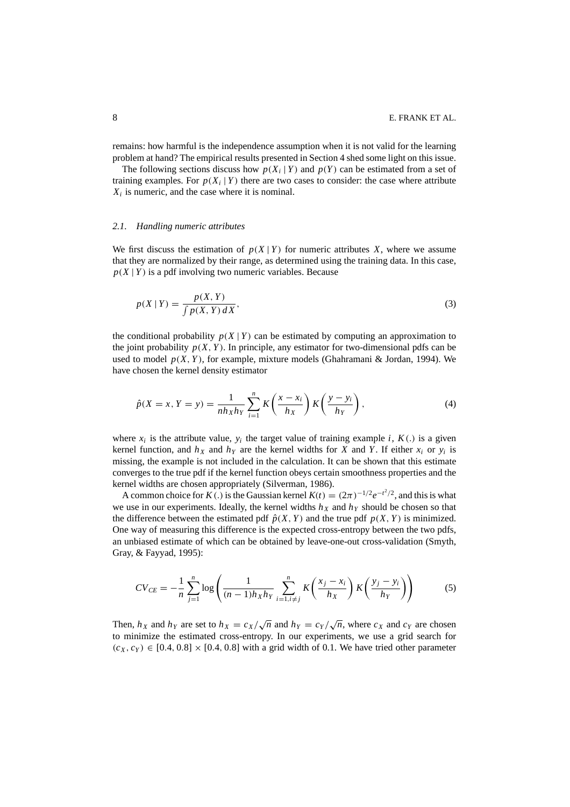remains: how harmful is the independence assumption when it is not valid for the learning problem at hand? The empirical results presented in Section 4 shed some light on this issue.

The following sections discuss how  $p(X_i | Y)$  and  $p(Y)$  can be estimated from a set of training examples. For  $p(X_i | Y)$  there are two cases to consider: the case where attribute  $X_i$  is numeric, and the case where it is nominal.

#### *2.1. Handling numeric attributes*

We first discuss the estimation of  $p(X | Y)$  for numeric attributes X, where we assume that they are normalized by their range, as determined using the training data. In this case,  $p(X | Y)$  is a pdf involving two numeric variables. Because

$$
p(X \mid Y) = \frac{p(X, Y)}{\int p(X, Y) \, dX},\tag{3}
$$

the conditional probability  $p(X|Y)$  can be estimated by computing an approximation to the joint probability  $p(X, Y)$ . In principle, any estimator for two-dimensional pdfs can be used to model  $p(X, Y)$ , for example, mixture models (Ghahramani & Jordan, 1994). We have chosen the kernel density estimator

$$
\hat{p}(X=x, Y=y) = \frac{1}{nh_Xh_Y} \sum_{i=1}^n K\left(\frac{x-x_i}{h_X}\right) K\left(\frac{y-y_i}{h_Y}\right),\tag{4}
$$

where  $x_i$  is the attribute value,  $y_i$  the target value of training example *i*,  $K(.)$  is a given kernel function, and  $h_X$  and  $h_Y$  are the kernel widths for *X* and *Y*. If either  $x_i$  or  $y_i$  is missing, the example is not included in the calculation. It can be shown that this estimate converges to the true pdf if the kernel function obeys certain smoothness properties and the kernel widths are chosen appropriately (Silverman, 1986).

A common choice for *K*(.) is the Gaussian kernel  $K(t) = (2\pi)^{-1/2}e^{-t^2/2}$ , and this is what we use in our experiments. Ideally, the kernel widths  $h_X$  and  $h_Y$  should be chosen so that the difference between the estimated pdf  $\hat{p}(X, Y)$  and the true pdf  $p(X, Y)$  is minimized. One way of measuring this difference is the expected cross-entropy between the two pdfs, an unbiased estimate of which can be obtained by leave-one-out cross-validation (Smyth, Gray, & Fayyad, 1995):

$$
CV_{CE} = -\frac{1}{n} \sum_{j=1}^{n} \log \left( \frac{1}{(n-1)h_X h_Y} \sum_{i=1, i \neq j}^{n} K\left(\frac{x_j - x_i}{h_X}\right) K\left(\frac{y_j - y_i}{h_Y}\right) \right) \tag{5}
$$

Then,  $h_X$  and  $h_Y$  are set to  $h_X = c_X/\sqrt{n}$  and  $h_Y = c_Y/\sqrt{n}$ , where  $c_X$  and  $c_Y$  are chosen to minimize the estimated cross-entropy. In our experiments, we use a grid search for  $(c_X, c_Y) \in [0.4, 0.8] \times [0.4, 0.8]$  with a grid width of 0.1. We have tried other parameter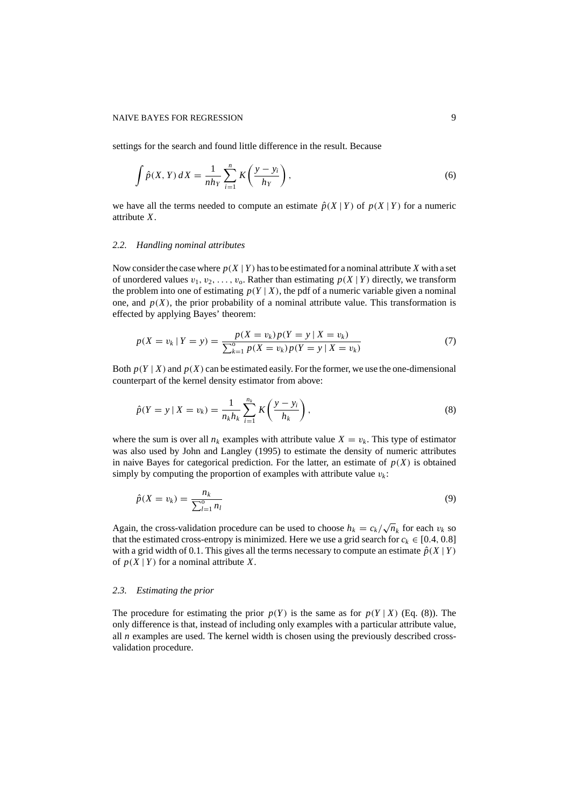settings for the search and found little difference in the result. Because

$$
\int \hat{p}(X,Y) dX = \frac{1}{nh_Y} \sum_{i=1}^{n} K\left(\frac{y-y_i}{h_Y}\right),\tag{6}
$$

we have all the terms needed to compute an estimate  $\hat{p}(X | Y)$  of  $p(X | Y)$  for a numeric attribute *X*.

# *2.2. Handling nominal attributes*

Now consider the case where  $p(X | Y)$  has to be estimated for a nominal attribute X with a set of unordered values  $v_1, v_2, \ldots, v_0$ . Rather than estimating  $p(X | Y)$  directly, we transform the problem into one of estimating  $p(Y | X)$ , the pdf of a numeric variable given a nominal one, and  $p(X)$ , the prior probability of a nominal attribute value. This transformation is effected by applying Bayes' theorem:

$$
p(X = v_k | Y = y) = \frac{p(X = v_k)p(Y = y | X = v_k)}{\sum_{k=1}^{0} p(X = v_k)p(Y = y | X = v_k)}
$$
(7)

Both  $p(Y | X)$  and  $p(X)$  can be estimated easily. For the former, we use the one-dimensional counterpart of the kernel density estimator from above:

$$
\hat{p}(Y = y \mid X = v_k) = \frac{1}{n_k h_k} \sum_{i=1}^{n_k} K\left(\frac{y - y_i}{h_k}\right),\tag{8}
$$

where the sum is over all  $n_k$  examples with attribute value  $X = v_k$ . This type of estimator was also used by John and Langley (1995) to estimate the density of numeric attributes in naive Bayes for categorical prediction. For the latter, an estimate of  $p(X)$  is obtained simply by computing the proportion of examples with attribute value  $v_k$ :

$$
\hat{p}(X = v_k) = \frac{n_k}{\sum_{l=1}^{0} n_l}
$$
\n(9)

Again, the cross-validation procedure can be used to choose  $h_k = c_k / \sqrt{n_k}$  for each  $v_k$  so that the estimated cross-entropy is minimized. Here we use a grid search for  $c_k \in [0.4, 0.8]$ with a grid width of 0.1. This gives all the terms necessary to compute an estimate  $\hat{p}(X | Y)$ of  $p(X | Y)$  for a nominal attribute X.

# *2.3. Estimating the prior*

The procedure for estimating the prior  $p(Y)$  is the same as for  $p(Y | X)$  (Eq. (8)). The only difference is that, instead of including only examples with a particular attribute value, all *n* examples are used. The kernel width is chosen using the previously described crossvalidation procedure.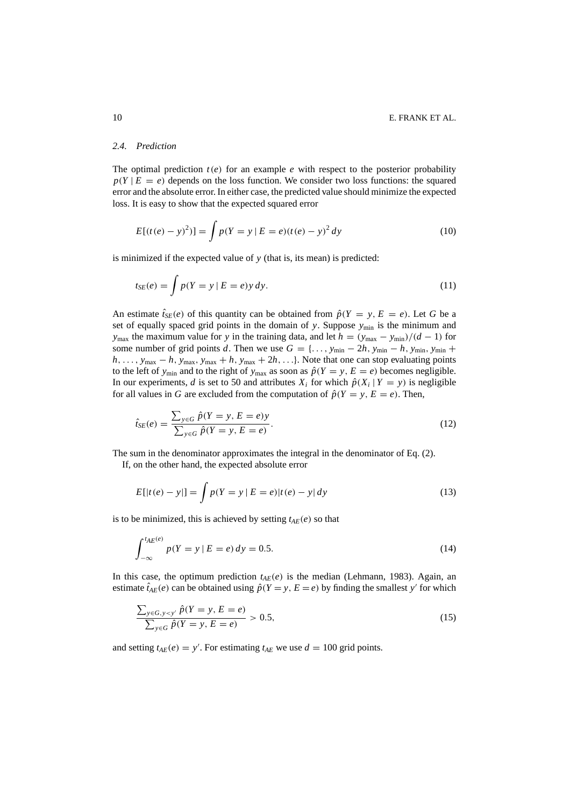#### *2.4. Prediction*

The optimal prediction  $t(e)$  for an example  $e$  with respect to the posterior probability  $p(Y \mid E = e)$  depends on the loss function. We consider two loss functions: the squared error and the absolute error. In either case, the predicted value should minimize the expected loss. It is easy to show that the expected squared error

$$
E[(t(e) - y)^{2})] = \int p(Y = y | E = e)(t(e) - y)^{2} dy
$$
\n(10)

is minimized if the expected value of *y* (that is, its mean) is predicted:

$$
t_{SE}(e) = \int p(Y = y \mid E = e) y \, dy. \tag{11}
$$

An estimate  $\hat{t}_{SE}(e)$  of this quantity can be obtained from  $\hat{p}(Y = y, E = e)$ . Let G be a set of equally spaced grid points in the domain of *y*. Suppose  $y_{min}$  is the minimum and *y*<sub>max</sub> the maximum value for *y* in the training data, and let  $h = (y_{max} - y_{min})/(d - 1)$  for some number of grid points *d*. Then we use  $G = \{..., y_{\text{min}} - 2h, y_{\text{min}} - h, y_{\text{min}}, y_{\text{min}} + h\}$  $h$ ,..., *y*<sub>max</sub> − *h*, *y*<sub>max</sub>, *y*<sub>max</sub> + *h*, *y*<sub>max</sub> + 2*h*,...}. Note that one can stop evaluating points to the left of *y*<sub>min</sub> and to the right of *y*<sub>max</sub> as soon as  $\hat{p}(Y = y, E = e)$  becomes negligible. In our experiments, *d* is set to 50 and attributes  $X_i$  for which  $\hat{p}(X_i | Y = y)$  is negligible for all values in *G* are excluded from the computation of  $\hat{p}(Y = y, E = e)$ . Then,

$$
\hat{t}_{SE}(e) = \frac{\sum_{y \in G} \hat{p}(Y = y, E = e)y}{\sum_{y \in G} \hat{p}(Y = y, E = e)}.
$$
\n(12)

The sum in the denominator approximates the integral in the denominator of Eq. (2).

If, on the other hand, the expected absolute error

$$
E[|t(e) - y|] = \int p(Y = y | E = e)|t(e) - y| dy
$$
\n(13)

is to be minimized, this is achieved by setting  $t_{AE}(e)$  so that

$$
\int_{-\infty}^{t_{A E}(e)} p(Y = y \mid E = e) dy = 0.5.
$$
 (14)

In this case, the optimum prediction  $t_{AE}(e)$  is the median (Lehmann, 1983). Again, an estimate  $\hat{t}_{AE}(e)$  can be obtained using  $\hat{p}(Y = y, E = e)$  by finding the smallest *y'* for which

$$
\frac{\sum_{y \in G, y < y'} \hat{p}(Y = y, E = e)}{\sum_{y \in G} \hat{p}(Y = y, E = e)} > 0.5,\tag{15}
$$

and setting  $t_{AE}(e) = y'$ . For estimating  $t_{AE}$  we use  $d = 100$  grid points.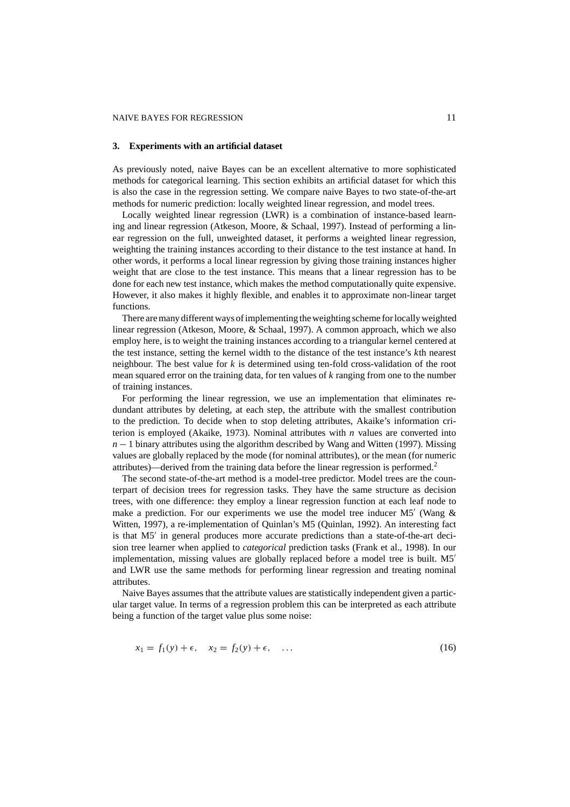#### NAIVE BAYES FOR REGRESSION 11

#### **3. Experiments with an artificial dataset**

As previously noted, naive Bayes can be an excellent alternative to more sophisticated methods for categorical learning. This section exhibits an artificial dataset for which this is also the case in the regression setting. We compare naive Bayes to two state-of-the-art methods for numeric prediction: locally weighted linear regression, and model trees.

Locally weighted linear regression (LWR) is a combination of instance-based learning and linear regression (Atkeson, Moore, & Schaal, 1997). Instead of performing a linear regression on the full, unweighted dataset, it performs a weighted linear regression, weighting the training instances according to their distance to the test instance at hand. In other words, it performs a local linear regression by giving those training instances higher weight that are close to the test instance. This means that a linear regression has to be done for each new test instance, which makes the method computationally quite expensive. However, it also makes it highly flexible, and enables it to approximate non-linear target functions.

There are many different ways of implementing the weighting scheme for locally weighted linear regression (Atkeson, Moore, & Schaal, 1997). A common approach, which we also employ here, is to weight the training instances according to a triangular kernel centered at the test instance, setting the kernel width to the distance of the test instance's *k*th nearest neighbour. The best value for *k* is determined using ten-fold cross-validation of the root mean squared error on the training data, for ten values of *k* ranging from one to the number of training instances.

For performing the linear regression, we use an implementation that eliminates redundant attributes by deleting, at each step, the attribute with the smallest contribution to the prediction. To decide when to stop deleting attributes, Akaike's information criterion is employed (Akaike, 1973). Nominal attributes with *n* values are converted into *n* − 1 binary attributes using the algorithm described by Wang and Witten (1997). Missing values are globally replaced by the mode (for nominal attributes), or the mean (for numeric attributes)—derived from the training data before the linear regression is performed.2

The second state-of-the-art method is a model-tree predictor. Model trees are the counterpart of decision trees for regression tasks. They have the same structure as decision trees, with one difference: they employ a linear regression function at each leaf node to make a prediction. For our experiments we use the model tree inducer  $M5'$  (Wang & Witten, 1997), a re-implementation of Quinlan's M5 (Quinlan, 1992). An interesting fact is that  $M5'$  in general produces more accurate predictions than a state-of-the-art decision tree learner when applied to *categorical* prediction tasks (Frank et al., 1998). In our implementation, missing values are globally replaced before a model tree is built. M5<sup>'</sup> and LWR use the same methods for performing linear regression and treating nominal attributes.

Naive Bayes assumes that the attribute values are statistically independent given a particular target value. In terms of a regression problem this can be interpreted as each attribute being a function of the target value plus some noise:

$$
x_1 = f_1(y) + \epsilon, \quad x_2 = f_2(y) + \epsilon, \quad \dots \tag{16}
$$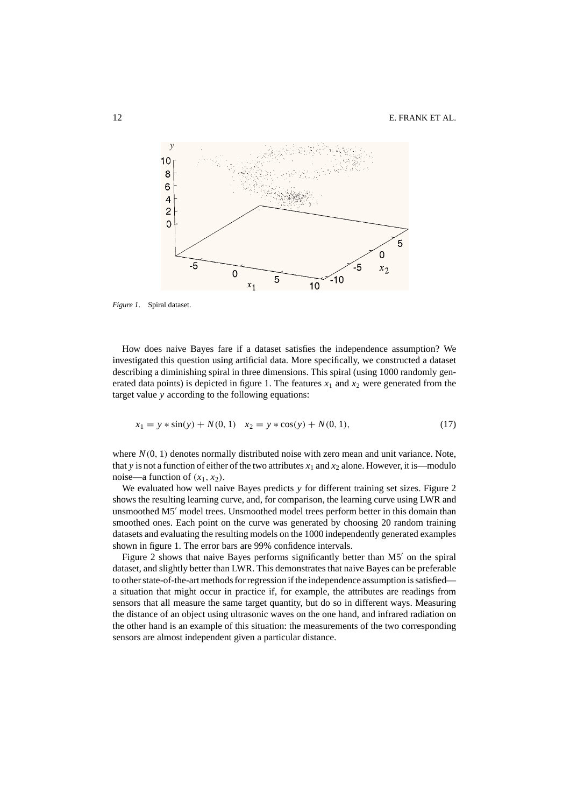

*Figure 1*. Spiral dataset.

How does naive Bayes fare if a dataset satisfies the independence assumption? We investigated this question using artificial data. More specifically, we constructed a dataset describing a diminishing spiral in three dimensions. This spiral (using 1000 randomly generated data points) is depicted in figure 1. The features  $x_1$  and  $x_2$  were generated from the target value *y* according to the following equations:

$$
x_1 = y * sin(y) + N(0, 1) \quad x_2 = y * cos(y) + N(0, 1), \tag{17}
$$

where  $N(0, 1)$  denotes normally distributed noise with zero mean and unit variance. Note, that *y* is not a function of either of the two attributes  $x_1$  and  $x_2$  alone. However, it is—modulo noise—a function of  $(x_1, x_2)$ .

We evaluated how well naive Bayes predicts *y* for different training set sizes. Figure 2 shows the resulting learning curve, and, for comparison, the learning curve using LWR and unsmoothed M5<sup>'</sup> model trees. Unsmoothed model trees perform better in this domain than smoothed ones. Each point on the curve was generated by choosing 20 random training datasets and evaluating the resulting models on the 1000 independently generated examples shown in figure 1. The error bars are 99% confidence intervals.

Figure 2 shows that naive Bayes performs significantly better than  $M5'$  on the spiral dataset, and slightly better than LWR. This demonstrates that naive Bayes can be preferable to other state-of-the-art methods for regression if the independence assumption is satisfied a situation that might occur in practice if, for example, the attributes are readings from sensors that all measure the same target quantity, but do so in different ways. Measuring the distance of an object using ultrasonic waves on the one hand, and infrared radiation on the other hand is an example of this situation: the measurements of the two corresponding sensors are almost independent given a particular distance.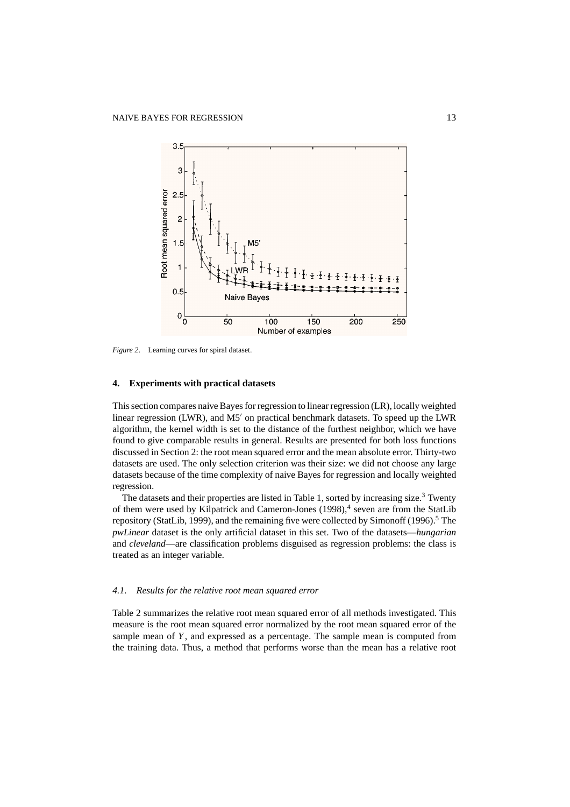

*Figure 2*. Learning curves for spiral dataset.

# **4. Experiments with practical datasets**

This section compares naive Bayes for regression to linear regression (LR), locally weighted linear regression (LWR), and M5<sup>'</sup> on practical benchmark datasets. To speed up the LWR algorithm, the kernel width is set to the distance of the furthest neighbor, which we have found to give comparable results in general. Results are presented for both loss functions discussed in Section 2: the root mean squared error and the mean absolute error. Thirty-two datasets are used. The only selection criterion was their size: we did not choose any large datasets because of the time complexity of naive Bayes for regression and locally weighted regression.

The datasets and their properties are listed in Table 1, sorted by increasing size.<sup>3</sup> Twenty of them were used by Kilpatrick and Cameron-Jones (1998),<sup>4</sup> seven are from the StatLib repository (StatLib, 1999), and the remaining five were collected by Simonoff (1996).<sup>5</sup> The *pwLinear* dataset is the only artificial dataset in this set. Two of the datasets—*hungarian* and *cleveland*—are classification problems disguised as regression problems: the class is treated as an integer variable.

#### *4.1. Results for the relative root mean squared error*

Table 2 summarizes the relative root mean squared error of all methods investigated. This measure is the root mean squared error normalized by the root mean squared error of the sample mean of *Y* , and expressed as a percentage. The sample mean is computed from the training data. Thus, a method that performs worse than the mean has a relative root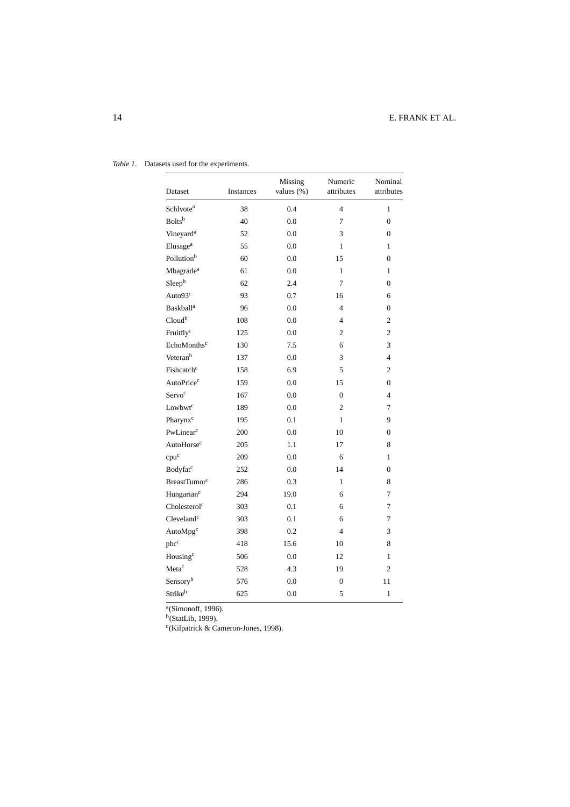| Dataset                      | Instances | Missing<br>values $(\%)$ | Numeric<br>attributes | Nominal<br>attributes |
|------------------------------|-----------|--------------------------|-----------------------|-----------------------|
| Schlvote <sup>a</sup>        | 38        | 0.4                      | $\overline{4}$        | 1                     |
| <b>Bolts</b> <sup>b</sup>    | 40        | 0.0                      | 7                     | $\overline{0}$        |
| Vineyard <sup>a</sup>        | 52        | 0.0                      | 3                     | $\boldsymbol{0}$      |
| Elusage <sup>a</sup>         | 55        | 0.0                      | 1                     | $\mathbf{1}$          |
| Pollution <sup>b</sup>       | 60        | 0.0                      | 15                    | 0                     |
| Mbagrade <sup>a</sup>        | 61        | 0.0                      | 1                     | $\mathbf{1}$          |
| Sleepb                       | 62        | 2.4                      | 7                     | $\overline{0}$        |
| Auto93c                      | 93        | 0.7                      | 16                    | 6                     |
| <b>Baskball</b> <sup>a</sup> | 96        | 0.0                      | $\overline{4}$        | 0                     |
| Cloud <sup>b</sup>           | 108       | 0.0                      | $\overline{4}$        | $\overline{c}$        |
| Fruitfly <sup>c</sup>        | 125       | 0.0                      | $\overline{c}$        | $\overline{c}$        |
| EchoMonths <sup>c</sup>      | 130       | 7.5                      | 6                     | 3                     |
| Veteran <sup>b</sup>         | 137       | 0.0                      | 3                     | 4                     |
| Fishcatch <sup>c</sup>       | 158       | 6.9                      | 5                     | $\overline{c}$        |
| AutoPricec                   | 159       | 0.0                      | 15                    | $\overline{0}$        |
| Servo <sup>c</sup>           | 167       | 0.0                      | $\boldsymbol{0}$      | $\overline{4}$        |
| Lowbwtc                      | 189       | 0.0                      | 2                     | 7                     |
| Pharynx <sup>c</sup>         | 195       | 0.1                      | 1                     | 9                     |
| PwLinearc                    | 200       | 0.0                      | 10                    | 0                     |
| AutoHorse <sup>c</sup>       | 205       | 1.1                      | 17                    | 8                     |
| cpu <sup>c</sup>             | 209       | 0.0                      | 6                     | 1                     |
| Bodyfatc                     | 252       | 0.0                      | 14                    | $\overline{0}$        |
| BreastTumor <sup>c</sup>     | 286       | 0.3                      | 1                     | 8                     |
| Hungarian <sup>c</sup>       | 294       | 19.0                     | 6                     | 7                     |
| Cholesterol <sup>c</sup>     | 303       | 0.1                      | 6                     | 7                     |
| Cleveland <sup>c</sup>       | 303       | 0.1                      | 6                     | 7                     |
| AutoMpg <sup>c</sup>         | 398       | 0.2                      | $\overline{4}$        | 3                     |
| pbcc                         | 418       | 15.6                     | 10                    | 8                     |
| Housing <sup>c</sup>         | 506       | 0.0                      | 12                    | $\mathbf{1}$          |
| Meta <sup>c</sup>            | 528       | 4.3                      | 19                    | $\mathbf{2}$          |
| Sensoryb                     | 576       | 0.0                      | $\boldsymbol{0}$      | 11                    |
| Strikeb                      | 625       | 0.0                      | 5                     | $\mathbf{1}$          |

*Table 1*. Datasets used for the experiments.

 $a(Simonoff, 1996)$ .

<sup>b</sup>(StatLib, 1999).

c(Kilpatrick & Cameron-Jones, 1998).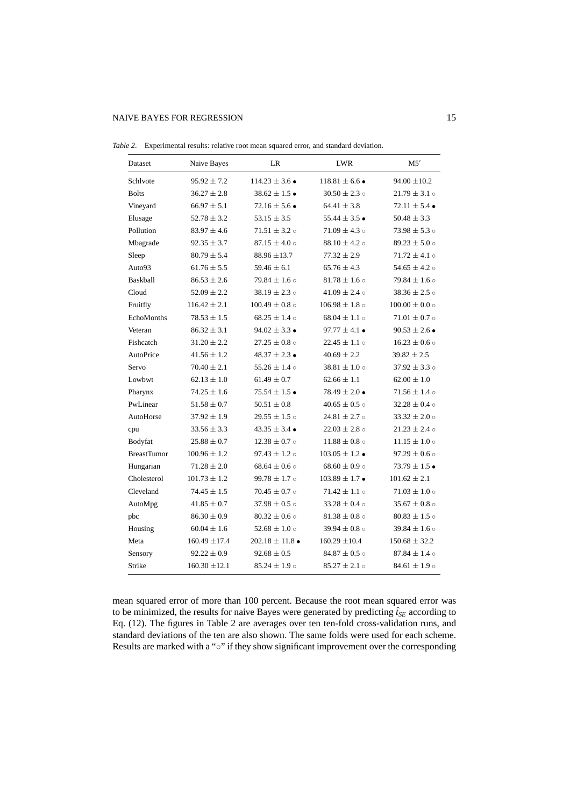| Dataset            | Naive Bayes       | <b>LR</b>                 | <b>LWR</b>                 | M5'               |
|--------------------|-------------------|---------------------------|----------------------------|-------------------|
| Schlyote           | $95.92 + 7.2$     | $114.23 \pm 3.6$ •        | $118.81 \pm 6.6$ •         | $94.00 + 10.2$    |
| <b>Bolts</b>       | $36.27 \pm 2.8$   | $38.62 \pm 1.5$ $\bullet$ | $30.50 \pm 2.3$            | $21.79 \pm 3.1$   |
| Vineyard           | $66.97 \pm 5.1$   | $72.16 \pm 5.6$ $\bullet$ | $64.41 \pm 3.8$            | $72.11 \pm 5.4$ • |
| Elusage            | $52.78 \pm 3.2$   | $53.15 \pm 3.5$           | $55.44 \pm 3.5$ $\bullet$  | $50.48 \pm 3.3$   |
| Pollution          | $83.97 \pm 4.6$   | $71.51 \pm 3.2$           | $71.09 \pm 4.3$            | $73.98 \pm 5.3$   |
| Mbagrade           | $92.35 \pm 3.7$   | $87.15 \pm 4.0$           | $88.10 \pm 4.2$            | $89.23 \pm 5.0$   |
| Sleep              | $80.79 \pm 5.4$   | $88.96 \pm 13.7$          | $77.32 \pm 2.9$            | $71.72 \pm 4.1$   |
| Auto93             | $61.76 \pm 5.5$   | $59.46 \pm 6.1$           | $65.76 \pm 4.3$            | $54.65 \pm 4.2$   |
| Baskball           | $86.53 \pm 2.6$   | $79.84 \pm 1.6$           | $81.78 \pm 1.6$            | $79.84 \pm 1.6$   |
| Cloud              | $52.09 \pm 2.2$   | $38.19 \pm 2.3$           | $41.09 \pm 2.4$            | $38.36 \pm 2.5$   |
| Fruitfly           | $116.42 \pm 2.1$  | $100.49 \pm 0.8$          | $106.98 \pm 1.8$           | $100.00 \pm 0.0$  |
| EchoMonths         | $78.53 \pm 1.5$   | $68.25 \pm 1.4$           | $68.04 \pm 1.1$            | $71.01 \pm 0.7$   |
| Veteran            | $86.32 \pm 3.1$   | $94.02 \pm 3.3$ •         | $97.77 \pm 4.1$ $\bullet$  | $90.53 \pm 2.6$ • |
| Fishcatch          | $31.20 \pm 2.2$   | $27.25 \pm 0.8$           | $22.45 \pm 1.1$            | $16.23 \pm 0.6$   |
| AutoPrice          | $41.56 \pm 1.2$   | $48.37 \pm 2.3$ •         | $40.69 \pm 2.2$            | $39.82 \pm 2.5$   |
| Servo              | $70.40 \pm 2.1$   | $55.26 \pm 1.4$           | $38.81 \pm 1.0$            | $37.92 \pm 3.3$   |
| Lowbwt             | $62.13 \pm 1.0$   | $61.49 \pm 0.7$           | $62.66 \pm 1.1$            | $62.00 \pm 1.0$   |
| Pharynx            | $74.25 \pm 1.6$   | $75.54 \pm 1.5$ •         | $78.49 \pm 2.0$ $\bullet$  | $71.56 \pm 1.4$   |
| PwLinear           | $51.58 \pm 0.7$   | $50.51 \pm 0.8$           | $40.65 \pm 0.5$            | $32.28 \pm 0.4$   |
| AutoHorse          | $37.92 \pm 1.9$   | $29.55 \pm 1.5$           | $24.81 \pm 2.7$ o          | $33.32 \pm 2.0$   |
| cpu                | $33.56 \pm 3.3$   | $43.35 \pm 3.4$ •         | $22.03 + 2.8$              | $21.23 + 2.4$     |
| Bodyfat            | $25.88 \pm 0.7$   | $12.38 \pm 0.7$           | $11.88 \pm 0.8$            | $11.15 \pm 1.0$   |
| <b>BreastTumor</b> | $100.96 \pm 1.2$  | $97.43 \pm 1.2$           | $103.05 \pm 1.2$           | $97.29 \pm 0.6$   |
| Hungarian          | $71.28 \pm 2.0$   | $68.64 \pm 0.6$           | $68.60 \pm 0.9$            | $73.79 \pm 1.5$ • |
| Cholesterol        | $101.73 \pm 1.2$  | $99.78 \pm 1.7$           | $103.89 \pm 1.7$ $\bullet$ | $101.62 \pm 2.1$  |
| Cleveland          | $74.45 \pm 1.5$   | $70.45 \pm 0.7$           | $71.42 \pm 1.1$            | $71.03 \pm 1.0$ o |
| AutoMpg            | $41.85 \pm 0.7$   | $37.98 \pm 0.5$           | $33.28 \pm 0.4$            | $35.67 \pm 0.8$   |
| pbc                | $86.30 \pm 0.9$   | $80.32 \pm 0.6$           | $81.38 \pm 0.8$            | $80.83 \pm 1.5$   |
| Housing            | $60.04 \pm 1.6$   | $52.68 \pm 1.0$           | $39.94 \pm 0.8$            | $39.84 \pm 1.6$   |
| Meta               | $160.49 \pm 17.4$ | $202.18 \pm 11.8$ •       | $160.29 \pm 10.4$          | $150.68 \pm 32.2$ |
| Sensory            | $92.22 \pm 0.9$   | $92.68 \pm 0.5$           | $84.87 \pm 0.5$            | $87.84 \pm 1.4$   |
| Strike             | $160.30 \pm 12.1$ | $85.24 \pm 1.9$           | $85.27 \pm 2.1$            | $84.61 \pm 1.9$   |

*Table 2*. Experimental results: relative root mean squared error, and standard deviation.

mean squared error of more than 100 percent. Because the root mean squared error was to be minimized, the results for naive Bayes were generated by predicting  $\hat{t}_{SE}$  according to Eq. (12). The figures in Table 2 are averages over ten ten-fold cross-validation runs, and standard deviations of the ten are also shown. The same folds were used for each scheme. Results are marked with a "◦" if they show significant improvement over the corresponding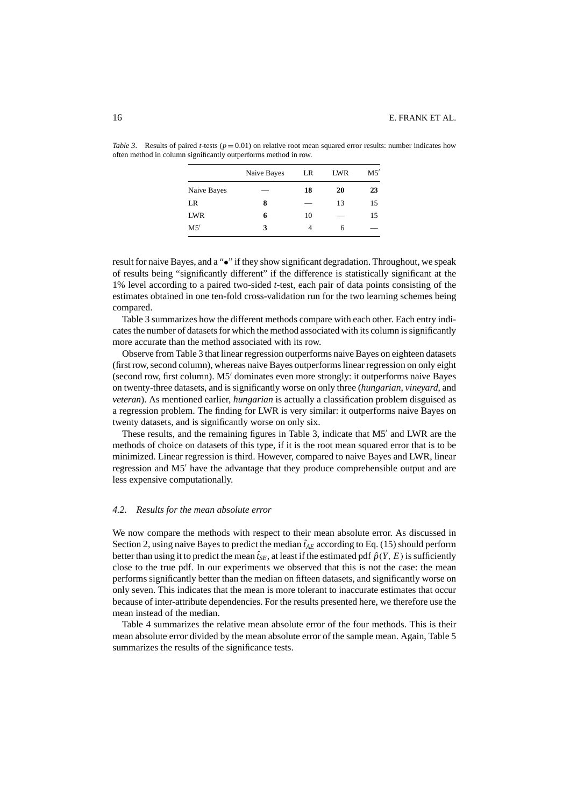*Table 3*. Results of paired *t*-tests ( $p = 0.01$ ) on relative root mean squared error results: number indicates how often method in column significantly outperforms method in row.

|             | Naive Bayes | LR | LWR | M5' |
|-------------|-------------|----|-----|-----|
| Naive Bayes |             | 18 | 20  | 23  |
| LR          | 8           |    | 13  | 15  |
| LWR         | 6           | 10 |     | 15  |
| M5'         | 3           | 4  | 6   |     |

result for naive Bayes, and a "•" if they show significant degradation. Throughout, we speak of results being "significantly different" if the difference is statistically significant at the 1% level according to a paired two-sided *t*-test, each pair of data points consisting of the estimates obtained in one ten-fold cross-validation run for the two learning schemes being compared.

Table 3 summarizes how the different methods compare with each other. Each entry indicates the number of datasets for which the method associated with its column is significantly more accurate than the method associated with its row.

Observe from Table 3 that linear regression outperforms naive Bayes on eighteen datasets (first row, second column), whereas naive Bayes outperforms linear regression on only eight (second row, first column).  $M5'$  dominates even more strongly: it outperforms naive Bayes on twenty-three datasets, and is significantly worse on only three (*hungarian*, *vineyard*, and *veteran*). As mentioned earlier, *hungarian* is actually a classification problem disguised as a regression problem. The finding for LWR is very similar: it outperforms naive Bayes on twenty datasets, and is significantly worse on only six.

These results, and the remaining figures in Table 3, indicate that  $M5'$  and LWR are the methods of choice on datasets of this type, if it is the root mean squared error that is to be minimized. Linear regression is third. However, compared to naive Bayes and LWR, linear regression and M5<sup>'</sup> have the advantage that they produce comprehensible output and are less expensive computationally.

#### *4.2. Results for the mean absolute error*

We now compare the methods with respect to their mean absolute error. As discussed in Section 2, using naive Bayes to predict the median  $\hat{t}_{AE}$  according to Eq. (15) should perform better than using it to predict the mean  $\hat{t}_{SE}$ , at least if the estimated pdf  $\hat{p}(Y, E)$  is sufficiently close to the true pdf. In our experiments we observed that this is not the case: the mean performs significantly better than the median on fifteen datasets, and significantly worse on only seven. This indicates that the mean is more tolerant to inaccurate estimates that occur because of inter-attribute dependencies. For the results presented here, we therefore use the mean instead of the median.

Table 4 summarizes the relative mean absolute error of the four methods. This is their mean absolute error divided by the mean absolute error of the sample mean. Again, Table 5 summarizes the results of the significance tests.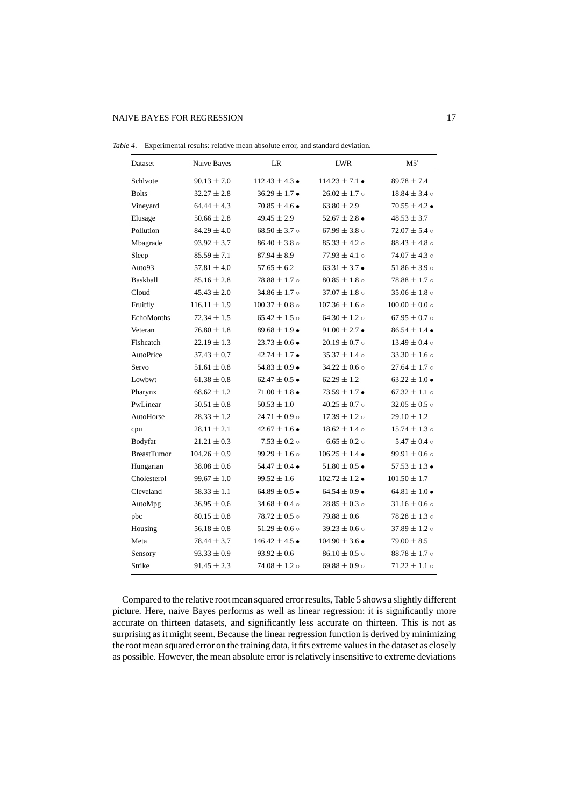| Dataset            | Naive Bayes      | <b>LR</b>                 | LWR                       | M5'                       |
|--------------------|------------------|---------------------------|---------------------------|---------------------------|
| Schlyote           | $90.13 \pm 7.0$  | $112.43 \pm 4.3$ •        | $114.23 \pm 7.1$          | $89.78 \pm 7.4$           |
| <b>Bolts</b>       | $32.27 \pm 2.8$  | $36.29 \pm 1.7$ $\bullet$ | $26.02 \pm 1.7$           | $18.84 \pm 3.4$           |
| Vineyard           | $64.44 \pm 4.3$  | $70.85 \pm 4.6$ $\bullet$ | $63.80 \pm 2.9$           | $70.55 \pm 4.2$ •         |
| Elusage            | $50.66 \pm 2.8$  | $49.45 \pm 2.9$           | $52.67 \pm 2.8$ $\bullet$ | $48.53 \pm 3.7$           |
| Pollution          | $84.29 \pm 4.0$  | $68.50 \pm 3.7$           | $67.99 \pm 3.8$           | $72.07 \pm 5.4$           |
| Mbagrade           | $93.92 \pm 3.7$  | $86.40 \pm 3.8$           | $85.33 \pm 4.2$           | $88.43 \pm 4.8$           |
| Sleep              | $85.59 \pm 7.1$  | $87.94 \pm 8.9$           | $77.93 \pm 4.1 \circ$     | $74.07 \pm 4.3$ o         |
| Auto93             | $57.81 \pm 4.0$  | $57.65 \pm 6.2$           | $63.31 + 3.7$ •           | $51.86 \pm 3.9$ o         |
| Baskball           | $85.16 \pm 2.8$  | $78.88 \pm 1.7$           | $80.85 \pm 1.8$           | $78.88 \pm 1.7$ o         |
| Cloud              | $45.43 \pm 2.0$  | $34.86 \pm 1.7$           | $37.07 \pm 1.8$           | $35.06 \pm 1.8$ $\circ$   |
| Fruitfly           | $116.11 \pm 1.9$ | $100.37 \pm 0.8$          | $107.36 \pm 1.6$          | $100.00 \pm 0.0$          |
| EchoMonths         | $72.34 \pm 1.5$  | $65.42 \pm 1.5$           | $64.30 \pm 1.2$           | $67.95 \pm 0.7$           |
| Veteran            | $76.80 \pm 1.8$  | $89.68 \pm 1.9$ $\bullet$ | $91.00 \pm 2.7$ $\bullet$ | $86.54 \pm 1.4$ •         |
| Fishcatch          | $22.19 \pm 1.3$  | $23.73 \pm 0.6$ •         | $20.19 \pm 0.7$           | $13.49 \pm 0.4$           |
| AutoPrice          | $37.43 \pm 0.7$  | $42.74 \pm 1.7$ $\bullet$ | $35.37 \pm 1.4$           | $33.30 \pm 1.6$           |
| Servo              | $51.61 \pm 0.8$  | $54.83 \pm 0.9$ •         | $34.22 \pm 0.6$           | $27.64 \pm 1.7$           |
| Lowbwt             | $61.38 \pm 0.8$  | $62.47 \pm 0.5$ $\bullet$ | $62.29 \pm 1.2$           | $63.22 \pm 1.0$ $\bullet$ |
| Pharynx            | $68.62 \pm 1.2$  | $71.00 \pm 1.8$ $\bullet$ | $73.59 \pm 1.7$ $\bullet$ | 67.32 $\pm$ 1.1 $\circ$   |
| PwLinear           | $50.51 \pm 0.8$  | $50.53 + 1.0$             | $40.25 \pm 0.7$           | $32.05 \pm 0.5$           |
| AutoHorse          | $28.33 \pm 1.2$  | $24.71 \pm 0.9$           | $17.39 \pm 1.2$           | $29.10 \pm 1.2$           |
| cpu                | $28.11 \pm 2.1$  | $42.67 \pm 1.6$ $\bullet$ | $18.62 \pm 1.4$           | $15.74 \pm 1.3$           |
| Bodyfat            | $21.21 \pm 0.3$  | $7.53 \pm 0.2$            | $6.65 \pm 0.2$            | $5.47 \pm 0.4$            |
| <b>BreastTumor</b> | $104.26 \pm 0.9$ | $99.29 \pm 1.6$           | $106.25 \pm 1.4$ •        | 99.91 $\pm$ 0.6 $\circ$   |
| Hungarian          | $38.08 \pm 0.6$  | 54.47 $\pm$ 0.4 $\bullet$ | $51.80 \pm 0.5$ $\bullet$ | $57.53 \pm 1.3$ •         |
| Cholesterol        | $99.67 \pm 1.0$  | $99.52 \pm 1.6$           | $102.72 \pm 1.2$          | $101.50 \pm 1.7$          |
| Cleveland          | $58.33 \pm 1.1$  | $64.89 \pm 0.5$ $\bullet$ | $64.54 \pm 0.9$ •         | $64.81 \pm 1.0$ $\bullet$ |
| AutoMpg            | $36.95 \pm 0.6$  | $34.68 \pm 0.4$           | $28.85 \pm 0.3$           | $31.16 \pm 0.6$           |
| pbc                | $80.15 \pm 0.8$  | $78.72 \pm 0.5$           | $79.88 \pm 0.6$           | $78.28 \pm 1.3$           |
| Housing            | $56.18 \pm 0.8$  | $51.29 \pm 0.6$           | $39.23 \pm 0.6$           | $37.89 \pm 1.2$           |
| Meta               | $78.44 \pm 3.7$  | $146.42 \pm 4.5$ •        | $104.90 \pm 3.6$ •        | $79.00 \pm 8.5$           |
| Sensory            | $93.33 \pm 0.9$  | $93.92 \pm 0.6$           | $86.10 \pm 0.5$           | $88.78 \pm 1.7$           |
| Strike             | $91.45 \pm 2.3$  | $74.08 \pm 1.2 \circ$     | 69.88 $\pm$ 0.9 $\circ$   | $71.22 \pm 1.1 \circ$     |

*Table 4*. Experimental results: relative mean absolute error, and standard deviation.

Compared to the relative root mean squared error results, Table 5 shows a slightly different picture. Here, naive Bayes performs as well as linear regression: it is significantly more accurate on thirteen datasets, and significantly less accurate on thirteen. This is not as surprising as it might seem. Because the linear regression function is derived by minimizing the root mean squared error on the training data, it fits extreme values in the dataset as closely as possible. However, the mean absolute error is relatively insensitive to extreme deviations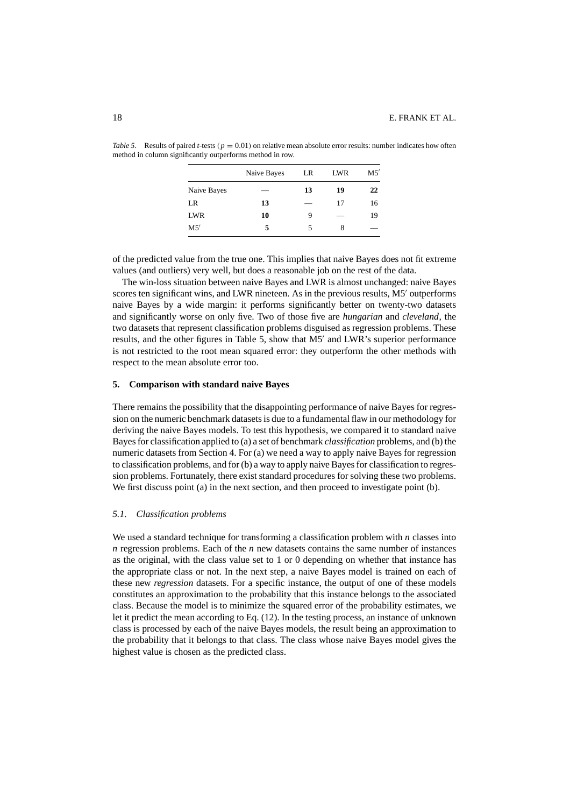*Table 5.* Results of paired *t*-tests ( $p = 0.01$ ) on relative mean absolute error results: number indicates how often method in column significantly outperforms method in row.

|             | Naive Bayes | LR | LWR | M5' |
|-------------|-------------|----|-----|-----|
| Naive Bayes |             | 13 | 19  | 22  |
| LR          | 13          |    | 17  | 16  |
| LWR         | 10          | 9  |     | 19  |
| M5'         |             | 5  | 8   |     |

of the predicted value from the true one. This implies that naive Bayes does not fit extreme values (and outliers) very well, but does a reasonable job on the rest of the data.

The win-loss situation between naive Bayes and LWR is almost unchanged: naive Bayes scores ten significant wins, and LWR nineteen. As in the previous results, M5' outperforms naive Bayes by a wide margin: it performs significantly better on twenty-two datasets and significantly worse on only five. Two of those five are *hungarian* and *cleveland*, the two datasets that represent classification problems disguised as regression problems. These results, and the other figures in Table 5, show that M5' and LWR's superior performance is not restricted to the root mean squared error: they outperform the other methods with respect to the mean absolute error too.

# **5. Comparison with standard naive Bayes**

There remains the possibility that the disappointing performance of naive Bayes for regression on the numeric benchmark datasets is due to a fundamental flaw in our methodology for deriving the naive Bayes models. To test this hypothesis, we compared it to standard naive Bayes for classification applied to (a) a set of benchmark *classification* problems, and (b) the numeric datasets from Section 4. For (a) we need a way to apply naive Bayes for regression to classification problems, and for (b) a way to apply naive Bayes for classification to regression problems. Fortunately, there exist standard procedures for solving these two problems. We first discuss point (a) in the next section, and then proceed to investigate point (b).

#### *5.1. Classification problems*

We used a standard technique for transforming a classification problem with *n* classes into *n* regression problems. Each of the *n* new datasets contains the same number of instances as the original, with the class value set to 1 or 0 depending on whether that instance has the appropriate class or not. In the next step, a naive Bayes model is trained on each of these new *regression* datasets. For a specific instance, the output of one of these models constitutes an approximation to the probability that this instance belongs to the associated class. Because the model is to minimize the squared error of the probability estimates, we let it predict the mean according to Eq. (12). In the testing process, an instance of unknown class is processed by each of the naive Bayes models, the result being an approximation to the probability that it belongs to that class. The class whose naive Bayes model gives the highest value is chosen as the predicted class.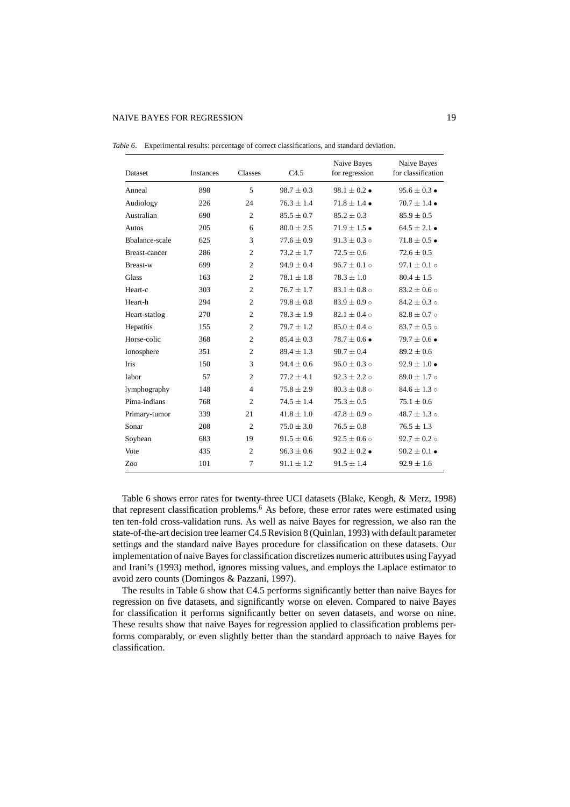| Dataset        | <b>Instances</b> | <b>Classes</b>           | C4.5           | Naive Bayes<br>for regression | Naive Bayes<br>for classification |
|----------------|------------------|--------------------------|----------------|-------------------------------|-----------------------------------|
| Anneal         | 898              | 5                        | $98.7 \pm 0.3$ | $98.1 \pm 0.2$ •              | $95.6 \pm 0.3$ •                  |
| Audiology      | 226              | 24                       | $76.3 \pm 1.4$ | $71.8 \pm 1.4$ •              | $70.7 \pm 1.4$ •                  |
| Australian     | 690              | $\overline{2}$           | $85.5 \pm 0.7$ | $85.2 \pm 0.3$                | $85.9 \pm 0.5$                    |
| Autos          | 205              | 6                        | $80.0 + 2.5$   | $71.9 \pm 1.5$ $\bullet$      | $64.5 \pm 2.1$                    |
| Bhalance-scale | 625              | 3                        | $77.6 \pm 0.9$ | $91.3 \pm 0.3$                | $71.8 \pm 0.5$ $\bullet$          |
| Breast-cancer  | 286              | $\overline{2}$           | $73.2 \pm 1.7$ | $72.5 \pm 0.6$                | $72.6 \pm 0.5$                    |
| Breast-w       | 699              | $\overline{c}$           | $94.9 \pm 0.4$ | $96.7 \pm 0.1$                | $97.1 \pm 0.1$                    |
| <b>Glass</b>   | 163              | $\overline{2}$           | $78.1 \pm 1.8$ | $78.3 \pm 1.0$                | $80.4 \pm 1.5$                    |
| Heart-c        | 303              | $\overline{c}$           | $76.7 + 1.7$   | $83.1 \pm 0.8$                | $83.2 \pm 0.6$                    |
| Heart-h        | 294              | $\overline{c}$           | $79.8 \pm 0.8$ | $83.9 \pm 0.9$                | $84.2 \pm 0.3$                    |
| Heart-statlog  | 270              | $\overline{c}$           | $78.3 \pm 1.9$ | $82.1 \pm 0.4$                | $82.8 \pm 0.7$                    |
| Hepatitis      | 155              | $\overline{c}$           | $79.7 + 1.2$   | $85.0 \pm 0.4$                | $83.7 \pm 0.5$                    |
| Horse-colic    | 368              | $\overline{c}$           | $85.4 \pm 0.3$ | $78.7 \pm 0.6 \bullet$        | $79.7 \pm 0.6 \bullet$            |
| Ionosphere     | 351              | $\overline{2}$           | $89.4 \pm 1.3$ | $90.7 \pm 0.4$                | $89.2 \pm 0.6$                    |
| <b>Iris</b>    | 150              | 3                        | $94.4 \pm 0.6$ | $96.0 \pm 0.3$                | $92.9 \pm 1.0$ $\bullet$          |
| Iabor          | 57               | $\overline{2}$           | $77.2 + 4.1$   | $92.3 + 2.2$                  | $89.0 \pm 1.7$                    |
| lymphography   | 148              | $\overline{\mathcal{L}}$ | $75.8 \pm 2.9$ | $80.3 \pm 0.8$                | $84.6 \pm 1.3$                    |
| Pima-indians   | 768              | $\overline{c}$           | $74.5 + 1.4$   | $75.3 \pm 0.5$                | $75.1 \pm 0.6$                    |
| Primary-tumor  | 339              | 21                       | $41.8 \pm 1.0$ | $47.8 \pm 0.9$                | $48.7 \pm 1.3$                    |
| Sonar          | 208              | $\overline{2}$           | $75.0 \pm 3.0$ | $76.5 \pm 0.8$                | $76.5 \pm 1.3$                    |
| Soybean        | 683              | 19                       | $91.5 \pm 0.6$ | $92.5 \pm 0.6$                | $92.7 \pm 0.2$                    |
| Vote           | 435              | $\overline{2}$           | $96.3 \pm 0.6$ | $90.2 \pm 0.2$ •              | $90.2 \pm 0.1$                    |
| Zoo            | 101              | $\overline{7}$           | $91.1 \pm 1.2$ | $91.5 \pm 1.4$                | $92.9 \pm 1.6$                    |

*Table 6*. Experimental results: percentage of correct classifications, and standard deviation.

Table 6 shows error rates for twenty-three UCI datasets (Blake, Keogh, & Merz, 1998) that represent classification problems.6 As before, these error rates were estimated using ten ten-fold cross-validation runs. As well as naive Bayes for regression, we also ran the state-of-the-art decision tree learner C4.5 Revision 8 (Quinlan, 1993) with default parameter settings and the standard naive Bayes procedure for classification on these datasets. Our implementation of naive Bayes for classification discretizes numeric attributes using Fayyad and Irani's (1993) method, ignores missing values, and employs the Laplace estimator to avoid zero counts (Domingos & Pazzani, 1997).

The results in Table 6 show that C4.5 performs significantly better than naive Bayes for regression on five datasets, and significantly worse on eleven. Compared to naive Bayes for classification it performs significantly better on seven datasets, and worse on nine. These results show that naive Bayes for regression applied to classification problems performs comparably, or even slightly better than the standard approach to naive Bayes for classification.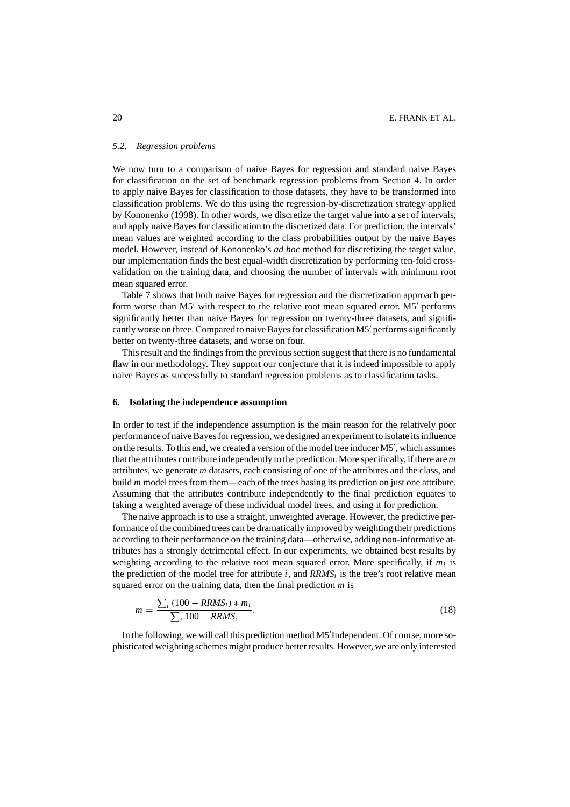#### *5.2. Regression problems*

We now turn to a comparison of naive Bayes for regression and standard naive Bayes for classification on the set of benchmark regression problems from Section 4. In order to apply naive Bayes for classification to those datasets, they have to be transformed into classification problems. We do this using the regression-by-discretization strategy applied by Kononenko (1998). In other words, we discretize the target value into a set of intervals, and apply naive Bayes for classification to the discretized data. For prediction, the intervals' mean values are weighted according to the class probabilities output by the naive Bayes model. However, instead of Kononenko's *ad hoc* method for discretizing the target value, our implementation finds the best equal-width discretization by performing ten-fold crossvalidation on the training data, and choosing the number of intervals with minimum root mean squared error.

Table 7 shows that both naive Bayes for regression and the discretization approach perform worse than  $M5'$  with respect to the relative root mean squared error.  $M5'$  performs significantly better than naive Bayes for regression on twenty-three datasets, and significantly worse on three. Compared to naive Bayes for classification M5' performs significantly better on twenty-three datasets, and worse on four.

This result and the findings from the previous section suggest that there is no fundamental flaw in our methodology. They support our conjecture that it is indeed impossible to apply naive Bayes as successfully to standard regression problems as to classification tasks.

# **6. Isolating the independence assumption**

In order to test if the independence assumption is the main reason for the relatively poor performance of naive Bayes for regression, we designed an experiment to isolate its influence on the results. To this end, we created a version of the model tree inducer M5', which assumes that the attributes contribute independently to the prediction. More specifically, if there are *m* attributes, we generate *m* datasets, each consisting of one of the attributes and the class, and build *m* model trees from them—each of the trees basing its prediction on just one attribute. Assuming that the attributes contribute independently to the final prediction equates to taking a weighted average of these individual model trees, and using it for prediction.

The naive approach is to use a straight, unweighted average. However, the predictive performance of the combined trees can be dramatically improved by weighting their predictions according to their performance on the training data—otherwise, adding non-informative attributes has a strongly detrimental effect. In our experiments, we obtained best results by weighting according to the relative root mean squared error. More specifically, if  $m_i$  is the prediction of the model tree for attribute *i*, and *RRMSi* is the tree's root relative mean squared error on the training data, then the final prediction *m* is

$$
m = \frac{\sum_{i} (100 - R RMS_i) * m_i}{\sum_{i} 100 - R RMS_i}.
$$
\n(18)

In the following, we will call this prediction method M5'Independent. Of course, more sophisticated weighting schemes might produce better results. However, we are only interested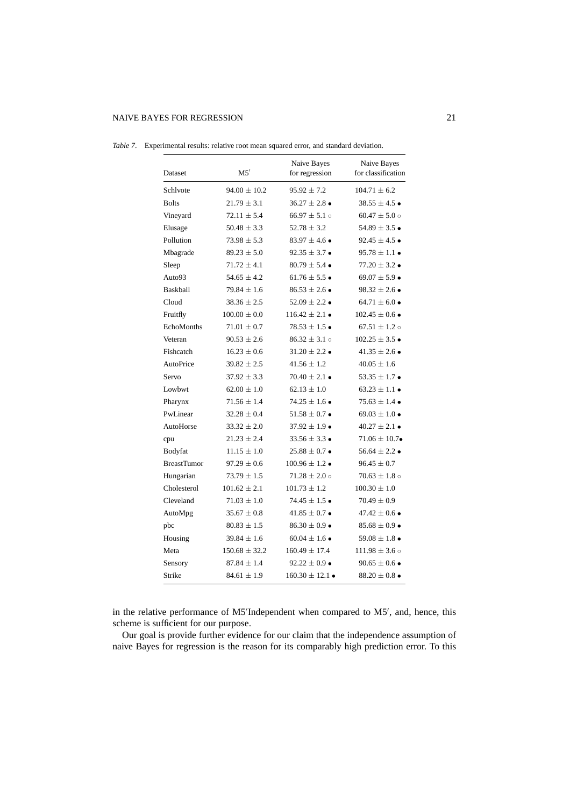| Dataset            | M5'               | Naive Bayes<br>for regression | Naive Bayes<br>for classification |
|--------------------|-------------------|-------------------------------|-----------------------------------|
| Schlyote           | $94.00 \pm 10.2$  | $95.92 \pm 7.2$               | $104.71 \pm 6.2$                  |
| <b>Bolts</b>       | $21.79 \pm 3.1$   | $36.27 + 2.8$                 | $38.55 + 4.5$ •                   |
| Vineyard           | $72.11 \pm 5.4$   | $66.97 \pm 5.1$               | $60.47 \pm 5.0$                   |
| Elusage            | $50.48 \pm 3.3$   | $52.78 + 3.2$                 | $54.89 \pm 3.5$ •                 |
| Pollution          | $73.98 \pm 5.3$   | $83.97 \pm 4.6$ $\bullet$     | $92.45 \pm 4.5$ $\bullet$         |
| Mbagrade           | $89.23 \pm 5.0$   | $92.35 \pm 3.7$ $\bullet$     | $95.78 \pm 1.1$ $\bullet$         |
| Sleep              | $71.72 \pm 4.1$   | $80.79 \pm 5.4$ •             | $77.20 \pm 3.2$                   |
| Auto93             | $54.65 \pm 4.2$   | $61.76 \pm 5.5$ $\bullet$     | $69.07 \pm 5.9$ •                 |
| <b>Baskball</b>    | $79.84 \pm 1.6$   | $86.53 + 2.6$                 | $98.32 \pm 2.6$ •                 |
| Cloud              | $38.36 \pm 2.5$   | $52.09 \pm 2.2$ $\bullet$     | $64.71 \pm 6.0$ •                 |
| Fruitfly           | $100.00 \pm 0.0$  | $116.42 \pm 2.1$              | $102.45 \pm 0.6$ $\bullet$        |
| EchoMonths         | $71.01 \pm 0.7$   | $78.53 \pm 1.5$ •             | $67.51 \pm 1.2$                   |
| Veteran            | $90.53 \pm 2.6$   | $86.32 \pm 3.1$               | $102.25 \pm 3.5$ •                |
| Fishcatch          | $16.23 \pm 0.6$   | $31.20 \pm 2.2$               | $41.35 \pm 2.6$ $\bullet$         |
| AutoPrice          | $39.82 \pm 2.5$   | $41.56 \pm 1.2$               | $40.05 \pm 1.6$                   |
| Servo              | $37.92 \pm 3.3$   | $70.40 \pm 2.1$               | $53.35 \pm 1.7$                   |
| Lowbwt             | $62.00 \pm 1.0$   | $62.13 \pm 1.0$               | $63.23 \pm 1.1$                   |
| Pharynx            | $71.56 \pm 1.4$   | $74.25 \pm 1.6$ $\bullet$     | $75.63 \pm 1.4$ •                 |
| PwLinear           | $32.28 \pm 0.4$   | $51.58 \pm 0.7$ $\bullet$     | $69.03 \pm 1.0$ •                 |
| AutoHorse          | $33.32 \pm 2.0$   | $37.92 \pm 1.9$ $\bullet$     | $40.27 \pm 2.1$ $\bullet$         |
| cpu                | $21.23 + 2.4$     | $33.56 \pm 3.3$ •             | $71.06 \pm 10.7$                  |
| Bodyfat            | $11.15 \pm 1.0$   | $25.88 \pm 0.7$ $\bullet$     | $56.64 + 2.2$                     |
| <b>BreastTumor</b> | $97.29 \pm 0.6$   | $100.96 \pm 1.2$ •            | $96.45 \pm 0.7$                   |
| Hungarian          | $73.79 \pm 1.5$   | $71.28 \pm 2.0$               | $70.63 \pm 1.8$                   |
| Cholesterol        | $101.62 \pm 2.1$  | $101.73 \pm 1.2$              | $100.30 \pm 1.0$                  |
| Cleveland          | $71.03 \pm 1.0$   | $74.45 \pm 1.5$ $\bullet$     | $70.49 \pm 0.9$                   |
| AutoMpg            | $35.67 \pm 0.8$   | $41.85 \pm 0.7$ •             | $47.42 \pm 0.6$ $\bullet$         |
| pbc                | $80.83 \pm 1.5$   | $86.30 \pm 0.9$ •             | $85.68 \pm 0.9$ •                 |
| Housing            | $39.84 \pm 1.6$   | $60.04 \pm 1.6$ $\bullet$     | $59.08 \pm 1.8$ •                 |
| Meta               | $150.68 \pm 32.2$ | $160.49 \pm 17.4$             | $111.98 \pm 3.6$                  |
| Sensory            | $87.84 \pm 1.4$   | $92.22 \pm 0.9$               | $90.65 \pm 0.6$ $\bullet$         |
| Strike             | $84.61 \pm 1.9$   | $160.30 \pm 12.1$ •           | $88.20 \pm 0.8$ •                 |

*Table 7*. Experimental results: relative root mean squared error, and standard deviation.

in the relative performance of M5'Independent when compared to M5', and, hence, this scheme is sufficient for our purpose.

Our goal is provide further evidence for our claim that the independence assumption of naive Bayes for regression is the reason for its comparably high prediction error. To this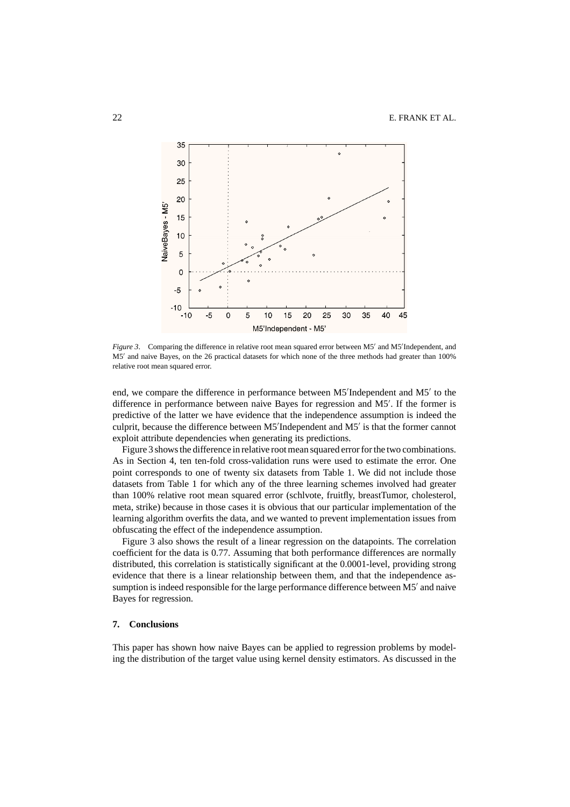

Figure 3. Comparing the difference in relative root mean squared error between M5' and M5'Independent, and M5<sup>'</sup> and naive Bayes, on the 26 practical datasets for which none of the three methods had greater than 100% relative root mean squared error.

end, we compare the difference in performance between M5'Independent and M5' to the difference in performance between naive Bayes for regression and M5'. If the former is predictive of the latter we have evidence that the independence assumption is indeed the culprit, because the difference between M5<sup>'</sup>Independent and M5<sup>'</sup> is that the former cannot exploit attribute dependencies when generating its predictions.

Figure 3 shows the difference in relative root mean squared error for the two combinations. As in Section 4, ten ten-fold cross-validation runs were used to estimate the error. One point corresponds to one of twenty six datasets from Table 1. We did not include those datasets from Table 1 for which any of the three learning schemes involved had greater than 100% relative root mean squared error (schlvote, fruitfly, breastTumor, cholesterol, meta, strike) because in those cases it is obvious that our particular implementation of the learning algorithm overfits the data, and we wanted to prevent implementation issues from obfuscating the effect of the independence assumption.

Figure 3 also shows the result of a linear regression on the datapoints. The correlation coefficient for the data is 0.77. Assuming that both performance differences are normally distributed, this correlation is statistically significant at the 0.0001-level, providing strong evidence that there is a linear relationship between them, and that the independence assumption is indeed responsible for the large performance difference between M5<sup>'</sup> and naive Bayes for regression.

# **7. Conclusions**

This paper has shown how naive Bayes can be applied to regression problems by modeling the distribution of the target value using kernel density estimators. As discussed in the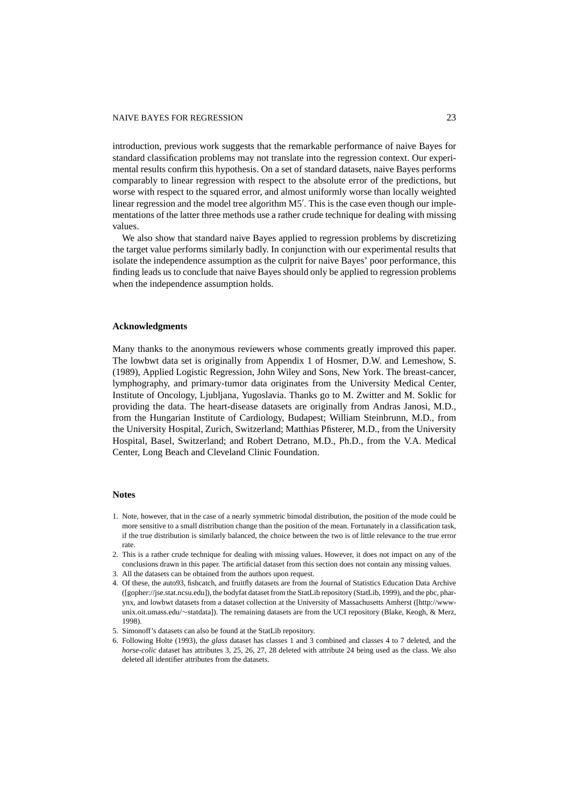#### NAIVE BAYES FOR REGRESSION 23

introduction, previous work suggests that the remarkable performance of naive Bayes for standard classification problems may not translate into the regression context. Our experimental results confirm this hypothesis. On a set of standard datasets, naive Bayes performs comparably to linear regression with respect to the absolute error of the predictions, but worse with respect to the squared error, and almost uniformly worse than locally weighted linear regression and the model tree algorithm M5'. This is the case even though our implementations of the latter three methods use a rather crude technique for dealing with missing values.

We also show that standard naive Bayes applied to regression problems by discretizing the target value performs similarly badly. In conjunction with our experimental results that isolate the independence assumption as the culprit for naive Bayes' poor performance, this finding leads us to conclude that naive Bayes should only be applied to regression problems when the independence assumption holds.

# **Acknowledgments**

Many thanks to the anonymous reviewers whose comments greatly improved this paper. The lowbwt data set is originally from Appendix 1 of Hosmer, D.W. and Lemeshow, S. (1989), Applied Logistic Regression, John Wiley and Sons, New York. The breast-cancer, lymphography, and primary-tumor data originates from the University Medical Center, Institute of Oncology, Ljubljana, Yugoslavia. Thanks go to M. Zwitter and M. Soklic for providing the data. The heart-disease datasets are originally from Andras Janosi, M.D., from the Hungarian Institute of Cardiology, Budapest; William Steinbrunn, M.D., from the University Hospital, Zurich, Switzerland; Matthias Pfisterer, M.D., from the University Hospital, Basel, Switzerland; and Robert Detrano, M.D., Ph.D., from the V.A. Medical Center, Long Beach and Cleveland Clinic Foundation.

# **Notes**

- 1. Note, however, that in the case of a nearly symmetric bimodal distribution, the position of the mode could be more sensitive to a small distribution change than the position of the mean. Fortunately in a classification task, if the true distribution is similarly balanced, the choice between the two is of little relevance to the true error rate.
- 2. This is a rather crude technique for dealing with missing values. However, it does not impact on any of the conclusions drawn in this paper. The artificial dataset from this section does not contain any missing values.
- 3. All the datasets can be obtained from the authors upon request.
- 4. Of these, the auto93, fishcatch, and fruitfly datasets are from the Journal of Statistics Education Data Archive ([gopher://jse.stat.ncsu.edu]), the bodyfat dataset from the StatLib repository (StatLib, 1999), and the pbc, pharynx, and lowbwt datasets from a dataset collection at the University of Massachusetts Amherst ([http://wwwunix.oit.umass.edu/∼statdata]). The remaining datasets are from the UCI repository (Blake, Keogh, & Merz, 1998).
- 5. Simonoff's datasets can also be found at the StatLib repository.
- 6. Following Holte (1993), the *glass* dataset has classes 1 and 3 combined and classes 4 to 7 deleted, and the *horse-colic* dataset has attributes 3, 25, 26, 27, 28 deleted with attribute 24 being used as the class. We also deleted all identifier attributes from the datasets.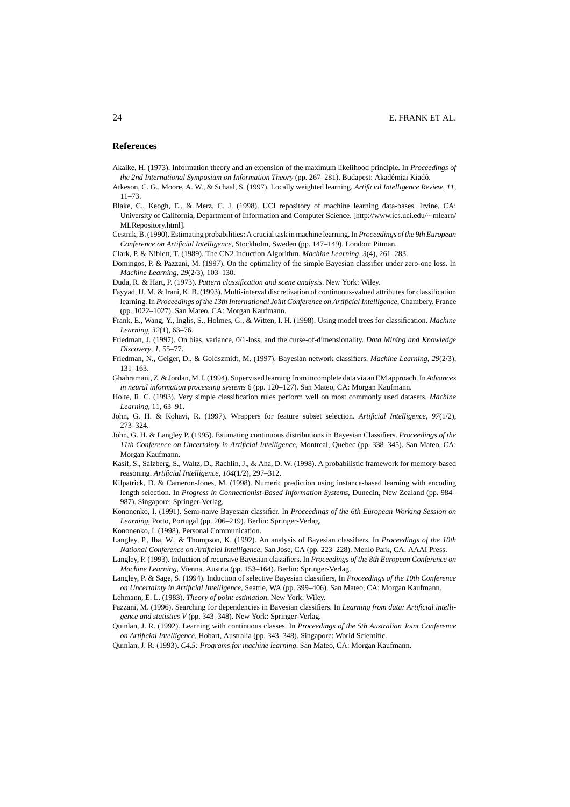#### **References**

- Akaike, H. (1973). Information theory and an extension of the maximum likelihood principle. In *Proceedings of the 2nd International Symposium on Information Theory* (pp. 267–281). Budapest: Akadémiai Kiadó.
- Atkeson, C. G., Moore, A. W., & Schaal, S. (1997). Locally weighted learning. *Artificial Intelligence Review*, *11*, 11–73.
- Blake, C., Keogh, E., & Merz, C. J. (1998). UCI repository of machine learning data-bases. Irvine, CA: University of California, Department of Information and Computer Science. [http://www.ics.uci.edu/∼mlearn/ MLRepository.html].
- Cestnik, B. (1990). Estimating probabilities: A crucial task in machine learning. In *Proceedings of the 9th European Conference on Artificial Intelligence*, Stockholm, Sweden (pp. 147–149). London: Pitman.
- Clark, P. & Niblett, T. (1989). The CN2 Induction Algorithm. *Machine Learning*, *3*(4), 261–283.
- Domingos, P. & Pazzani, M. (1997). On the optimality of the simple Bayesian classifier under zero-one loss. In *Machine Learning*, *29*(2/3), 103–130.

Duda, R. & Hart, P. (1973). *Pattern classification and scene analysis*. New York: Wiley.

- Fayyad, U. M. & Irani, K. B. (1993). Multi-interval discretization of continuous-valued attributes for classification learning. In *Proceedings of the 13th International Joint Conference on Artificial Intelligence*, Chambery, France (pp. 1022–1027). San Mateo, CA: Morgan Kaufmann.
- Frank, E., Wang, Y., Inglis, S., Holmes, G., & Witten, I. H. (1998). Using model trees for classification. *Machine Learning*, *32*(1), 63–76.
- Friedman, J. (1997). On bias, variance, 0/1-loss, and the curse-of-dimensionality. *Data Mining and Knowledge Discovery*, *1*, 55–77.
- Friedman, N., Geiger, D., & Goldszmidt, M. (1997). Bayesian network classifiers. *Machine Learning*, *29*(2/3), 131–163.
- Ghahramani, Z. & Jordan, M. I. (1994). Supervised learning from incomplete data via an EM approach. In *Advances in neural information processing systems* 6 (pp. 120–127). San Mateo, CA: Morgan Kaufmann.
- Holte, R. C. (1993). Very simple classification rules perform well on most commonly used datasets. *Machine Learning*, 11, 63–91.
- John, G. H. & Kohavi, R. (1997). Wrappers for feature subset selection. *Artificial Intelligence*, *97*(1/2), 273–324.
- John, G. H. & Langley P. (1995). Estimating continuous distributions in Bayesian Classifiers. *Proceedings of the 11th Conference on Uncertainty in Artificial Intelligence*, Montreal, Quebec (pp. 338–345). San Mateo, CA: Morgan Kaufmann.
- Kasif, S., Salzberg, S., Waltz, D., Rachlin, J., & Aha, D. W. (1998). A probabilistic framework for memory-based reasoning. *Artificial Intelligence*, *104*(1/2), 297–312.
- Kilpatrick, D. & Cameron-Jones, M. (1998). Numeric prediction using instance-based learning with encoding length selection. In *Progress in Connectionist-Based Information Systems*, Dunedin, New Zealand (pp. 984– 987). Singapore: Springer-Verlag.
- Kononenko, I. (1991). Semi-naive Bayesian classifier. In *Proceedings of the 6th European Working Session on Learning*, Porto, Portugal (pp. 206–219). Berlin: Springer-Verlag.
- Kononenko, I. (1998). Personal Communication.
- Langley, P., Iba, W., & Thompson, K. (1992). An analysis of Bayesian classifiers. In *Proceedings of the 10th National Conference on Artificial Intelligence*, San Jose, CA (pp. 223–228). Menlo Park, CA: AAAI Press.
- Langley, P. (1993). Induction of recursive Bayesian classifiers. In *Proceedings of the 8th European Conference on Machine Learning*, Vienna, Austria (pp. 153–164). Berlin: Springer-Verlag.
- Langley, P. & Sage, S. (1994). Induction of selective Bayesian classifiers, In *Proceedings of the 10th Conference on Uncertainty in Artificial Intelligence*, Seattle, WA (pp. 399–406). San Mateo, CA: Morgan Kaufmann.
- Lehmann, E. L. (1983). *Theory of point estimation*. New York: Wiley.
- Pazzani, M. (1996). Searching for dependencies in Bayesian classifiers. In *Learning from data: Artificial intelligence and statistics V* (pp. 343–348). New York: Springer-Verlag.
- Quinlan, J. R. (1992). Learning with continuous classes. In *Proceedings of the 5th Australian Joint Conference on Artificial Intelligence*, Hobart, Australia (pp. 343–348). Singapore: World Scientific.
- Quinlan, J. R. (1993). *C4.5: Programs for machine learning*. San Mateo, CA: Morgan Kaufmann.